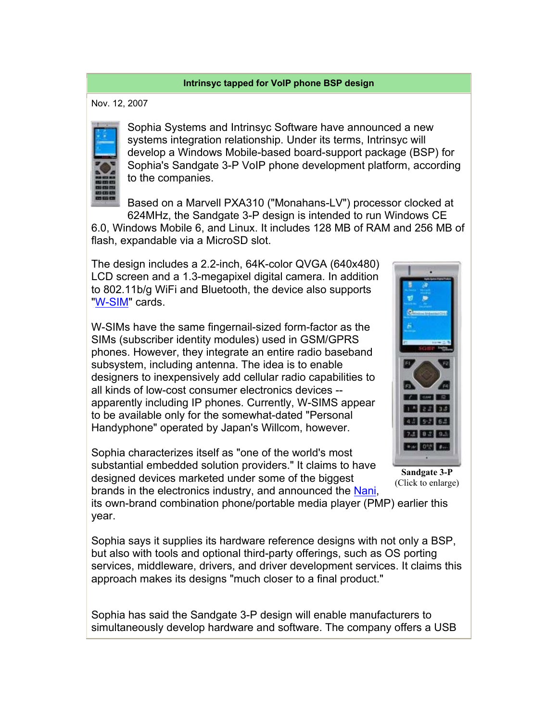## **Intrinsyc tapped for VoIP phone BSP design**

Nov. 12, 2007



Sophia Systems and Intrinsyc Software have announced a new systems integration relationship. Under its terms, Intrinsyc will develop a Windows Mobile-based board-support package (BSP) for Sophia's Sandgate 3-P VoIP phone development platform, according to the companies.

Based on a Marvell PXA310 ("Monahans-LV") processor clocked at 624MHz, the Sandgate 3-P design is intended to run Windows CE 6.0, Windows Mobile 6, and Linux. It includes 128 MB of RAM and 256 MB of flash, expandable via a MicroSD slot.

The design includes a 2.2-inch, 64K-color QVGA (640x480) LCD screen and a 1.3-megapixel digital camera. In addition to 802.11b/g WiFi and Bluetooth, the device also supports "W-SIM" cards.

W-SIMs have the same fingernail-sized form-factor as the SIMs (subscriber identity modules) used in GSM/GPRS phones. However, they integrate an entire radio baseband subsystem, including antenna. The idea is to enable designers to inexpensively add cellular radio capabilities to all kinds of low-cost consumer electronics devices - apparently including IP phones. Currently, W-SIMS appear to be available only for the somewhat-dated "Personal Handyphone" operated by Japan's Willcom, however.

Sophia characterizes itself as "one of the world's most substantial embedded solution providers." It claims to have designed devices marketed under some of the biggest brands in the electronics industry, and announced the Nani,



**Sandgate 3-P** (Click to enlarge)

its own-brand combination phone/portable media player (PMP) earlier this year.

Sophia says it supplies its hardware reference designs with not only a BSP, but also with tools and optional third-party offerings, such as OS porting services, middleware, drivers, and driver development services. It claims this approach makes its designs "much closer to a final product."

Sophia has said the Sandgate 3-P design will enable manufacturers to simultaneously develop hardware and software. The company offers a USB